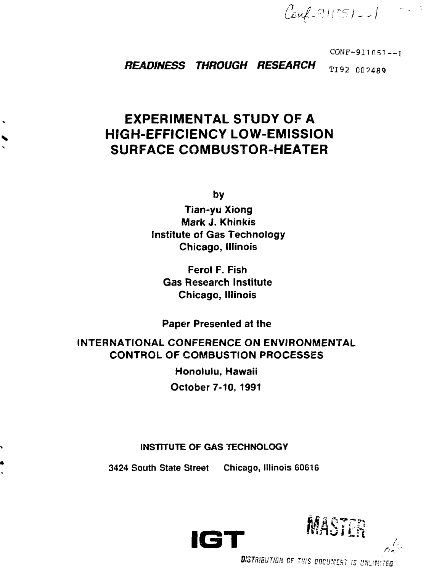*/ Jui*

 $CONF-911051--1$ 

**READINESS THROUGH RESEARCH TI92 002489** 

# **EXPERIMENTAL STUDY OF A HIGH-EFFICIENCY LOW-EMISSION SURFACE COMBUSTOR-HEATER**

**by**

**Tian-yu Xiong Mark J. Khinkis Institute of Gas Technology Chicago, Illinois**

**Ferol F. Fish Gas Research Institute Chicago, Illinois**

**Paper Presented at the**

# **INTERNATIONAL CONFERENCE ON ENVIRONMENTAL CONTROL OF COMBUSTION PROCESSES**

**Honolulu, Hawaii October 7-10, 1991**

# **INSTITUTE OF GAS TECHNOLOGY**

**3424 South State Street Chicago, Illinois 60616**







DISTRIBUTION OF THIS DOCUMENT IS UNLIMITED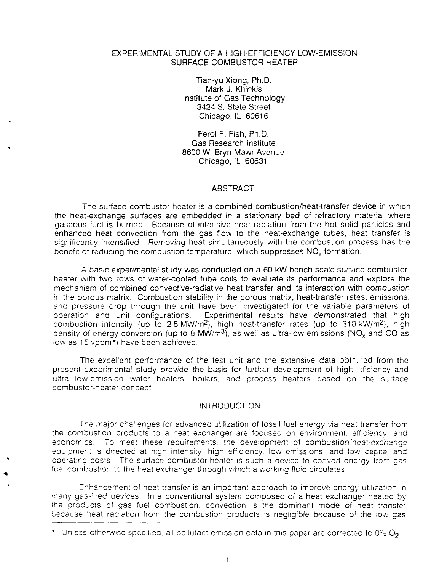# EXPERIMENTAL STUDY OF A HIGH-EFFICIENCY LOW-EMISSION SURFACE COMBUSTOR-HEATER

Tian-yu Xiong, Ph.D. Mark J. Khinkis Institute of Gas Technology 3424 S. State Street Chicago, IL 60616

Ferol F. Fish, Ph.D. Gas Research Institute 8600 W. Bryn Mawr Avenue Chicago, IL 60631

### ABSTRACT

The surface combustor-heater is a combined combustion/heat-transfer device in which the heat-exchange surfaces are embedded in a stationary bed of refractory material where gaseous fuel is burned. Because of intensive heat radiation from the hot solid particles and enhanced heat convection from the gas flow to the heat-exchange tubes, heat transfer is significantly intensified. Removing heat simultaneously with the combustion process has the benefit of reducing the combustion temperature, which suppresses NO<sub>x</sub> formation.

A basic experimental study was conducted on a 60-kW bench-scale surface combustorheater with two rows of water-cooled tube coils to evaluate its performance and explore the mechanism of combined convective-radiative heat transfer and its interaction with combustion in the porous matrix. Combustion stability in the porous matrix, heat-transfer rates, emissions, and pressure drop through the unit have been investigated for the variable parameters of operation and unit configurations. Experimental results have demonstrated that high combustion intensity (up to 2.5 MW/m<sup>2</sup>), high heat-transfer rates (up to 310 kW/m<sup>2</sup>), high density of energy conversion (up to 8 MW/ $m<sup>3</sup>$ ), as well as ultra-low emissions (NO<sub>x</sub> and CO as low as 15 vppm\*) have been achieved.

The excellent performance of the test unit and the extensive data obtrared from the present experimental study provide the basis for further development of high lificiency and ultra low-emission water heaters, boilers, and process heaters based on the surface combustor-heater concept.

#### **INTRODUCTION**

The major challenges for advanced utilization of fossil fuel energy via heat transfer from the combustion products to a heat exchanger are focused on environment, efficiency, and economics. To meet these requirements, the development of combustion'heat-exchange equipment is directed at high intensity, high efficiency, low emissions, and low capita' and operating costs The surface combustor-heater is such a device to convert energy fro<sup>r</sup> " gas fuel combustion to the heat exchanger through which a working fluid circulates

Enhancement of heat transfer is an important approach to improve energy utilization in many gas-fired devices. In a conventional system composed of a heat exchanger heated by the products of gas fuel combustion, convection is the dominant mode of heat transfer because heat radiation from the combustion products is negligible because of the low gas

<sup>\*</sup> Unless otherwise specified, all pollutant emission data in this paper are corrected to 0°o  $O_2$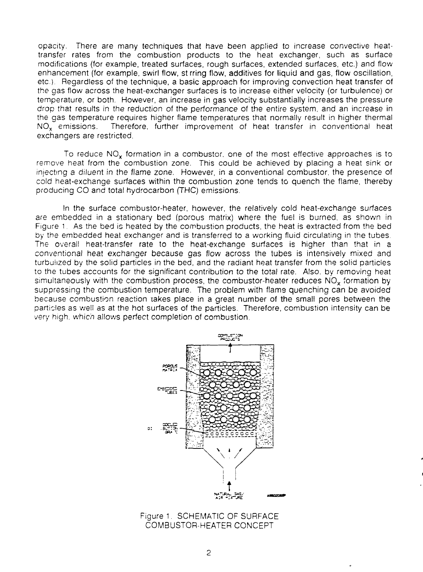opacity. There are many techniques that have been applied to increase convective heattransfer rates from the combustion products to the heat exchanger, such as surface modifications (for example, treated surfaces, rough surfaces, extended surfaces, etc.) and flow enhancement (for example, swirl flow, st rring flow, additives for liquid and gas, flow oscillation, etc.). Regardless of the technique, a basic approach for improving convection heat transfer of the gas flow across the heat-exchanger surfaces is to increase either velocity (or turbulence) or temperature, or both. However, an increase in gas velocity substantially increases the pressure drop that results in the reduction of the performance of the entire system, and an increase in the gas temperature requires higher flame temperatures that normally result in higher thermal NO<sub>x</sub> emissions. Therefore, further improvement of heat transfer in conventional heat exchangers are restricted.

To reduce NO<sub>x</sub> formation in a combustor, one of the most effective approaches is to remove heat from the combustion zone. This could be achieved by placing a heat sink or injecting a diluent in the flame zone. However, in a conventional combustor, the presence of cold heat-exchange surfaces within the combustion zone tends to quench the flame, thereby producing CO and total hydrocarbon (THC) emissions.

In the surface combustor-heater, however, the relatively cold heat-exchange surfaces are embedded in a stationary bed (porous matrix) where the fuel is burned, as shown in Figure 1. As the bed is heated by the combustion products, the heat is extracted from the bed by the embedded heat exchanger and is transferred to a working fluid circulating in the tubes. The overall heat-transfer rate to the heat-exchange surfaces is higher than that in a conventional heat exchanger because gas flow across the tubes is intensively mixed and turbulized by the solid particles in the bed, and the radiant heat transfer from the solid particles to the tubes accounts for the significant contribution to the total rate. Also, by removing heat simultaneously with the combustion process, the combustor-heater reduces  $NO<sub>x</sub>$  formation by suppressing the combustion temperature. The problem with flame quenching can be avoided because combustion reaction takes place in a great number of the small pores between the particles as well as at the hot surfaces of the particles. Therefore, combustion intensity can be very high, which allows perfect completion of combustion.



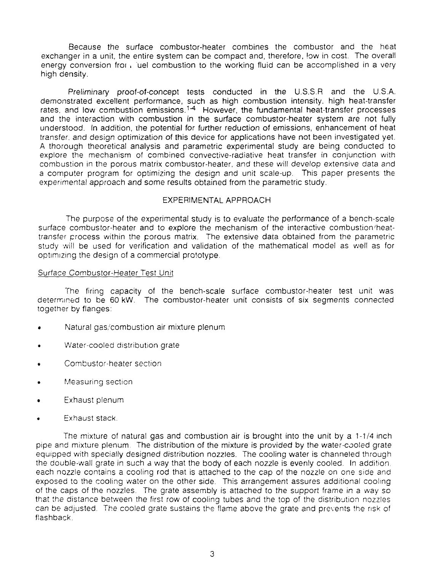Because the surface combustor-heater combines the combustor and the heat exchanger in a unit, the entire system can be compact and, therefore, low in cost. The overall energy conversion fror . uel combustion to the working fluid can be accomplished in a very high density.

Preliminary proof-of-concept tests conducted in the U.S.S.R and the U.S.A. demonstrated excellent performance, such as high combustion intensity, high heat-transfer rates, and low combustion emissions.<sup>1-4</sup> However, the fundamental heat-transfer processes and the interaction with combustion in the surface combustor-heater system are not fully understood. In addition, the potential for further reduction of emissions, enhancement of heat transfer, and design optimization of this device for applications have not been investigated yet. A thorough theoretical analysis and parametric experimental study are being conducted to explore the mechanism of combined convective-radiative heat transfer in conjunction with combustion in the porous matrix combustor-heater, and these will develop extensive data and a computer program for optimizing the design and unit scale-up. This paper presents the experimental approach and some results obtained from the parametric study.

# EXPERIMENTAL APPROACH

The purpose of the experimental study is to evaluate the performance of a bench-scale surface combustor-heater and to explore the mechanism of the interactive combustion'heattransfer process within the porous matrix. The extensive data obtained from the parametric study will be used for verification and validation of the mathematical model as well as for optimizing the design of a commercial prototype.

## Surface Combustor-Heater Test Unit

The firing capacity of the bench-scale surface combustor-heater test unit was determined to be 60 kW. The combustor-heater unit consists of six segments connected together by flanges:

- Natural gas/combustion air mixture plenum
- Water-cooled distribution grate
- Combustor-heater section
- Measuring section
- Exhaust plenum
- Exhaust stack.

The mixture of natural gas and combustion air is brought into the unit by a 1-1/4 inch pipe and mixture plenum. The distribution of the mixture is provided by the water-cooled grate equipped with specially designed distribution nozzles. The cooling water is channeled through the double-wall grate in such a way that the body of each nozzle is evenly cooled. In addition, each nozzle contains a cooling rod that is attached to the cap of the nozzle on one side and exposed to the cooling water on the other side. This arrangement assures additional cooling of the caps of the nozzles. The grate assembly is attached to the support frame in a way so that the distance between the first row of cooling tubes and the top of the distribution nozzles can be adjusted. The cooled grate sustains the flame above the grate and prevents the risk of flashback.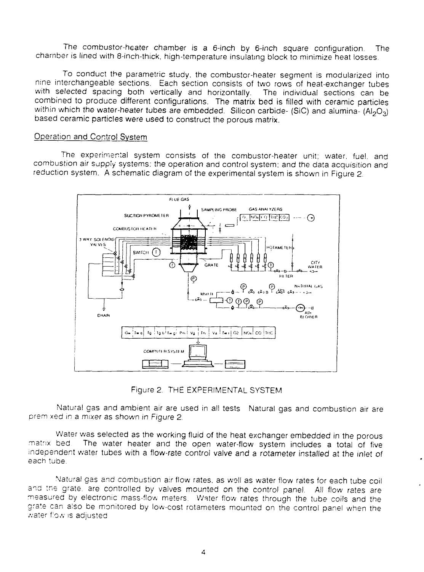The cornbustor-heater chamber is a 6-inch by 6-inch square configuration. The chamber is lined with 8-inch-thick, high-temperature insulating block to minimize heat losses.

To conduct the parametric study, the combustor-heater segment is modularized into nine interchangeable sections. Each section consists of two rows of heat-exchanger tubes with selected spacing both vertically and horizontally. The individual sections can be combined to produce different configurations. The matrix bed is filled with ceramic particles within which the water-heater tubes are embedded. Silicon carbide- (SiC) and alumina-  $(AI_2O_3)$ based ceramic particles were used to construct the porous matrix.

# Operation and Control System

The experimental system consists of the combustor-heater unit; water, fuel, and combustion air supply systems: the operation and control system; and the data acquisition and reduction system. A schematic diagram of the experimental system is shown in Figure 2



Figure 2. THE EXPERIMENTAL SYSTEM

Natural gas and ambient air are used in all tests Natural gas and combustion air are prem xed in a mixer as shown in Figure 2.

Water was selected as the working fluid of the heat exchanger embedded in the porous<br>matrix bed. The water heater and the open water-flow system includes a total of five The water heater and the open water-flow system includes a total of five independent water tubes with a flow-rate control valve and a rotameter installed at the inlet of each tube.

Natural gas and combustion a:r flow rates, as well as water flow rates for each tube coil and tne grate, are controlled by valves mounted on the control panel. All flow rates are measured by electronic mass-flow meters. Water flow rates through the tube coils and the grate can also be monitored by low-cost rotameters mounted on the control panel when the water flow is adjusted.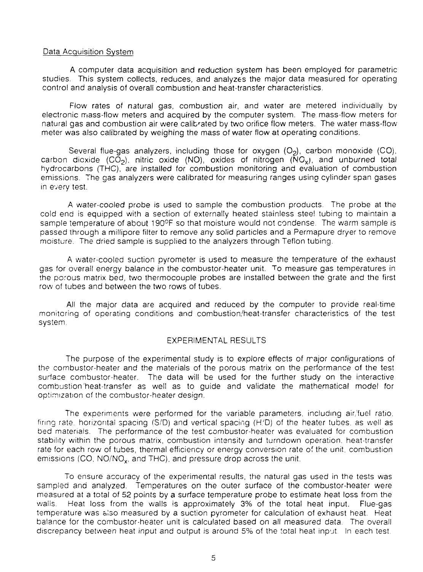#### Data Acquisition System

A computer data acquisition and reduction system has been employed for parametric studies. This system collects, reduces, and analyzes the major data measured for operating control and analysis of overall combustion and heat-transfer characteristics.

Flow rates of natural gas, combustion air, and water are metered individually by electronic mass-flow meters and acquired by the computer system. The mass-flow meters for natural gas and combustion air were calibrated by two orifice flow meters. The water mass-flow meter was also calibrated by weighing the mass of water flow at operating conditions.

Several flue-gas analyzers, including those for oxygen  $(O<sub>2</sub>)$ , carbon monoxide  $(CO)$ , carbon dioxide  $(CO<sub>2</sub>)$ , nitric oxide  $(NO)$ , oxides of nitrogen  $(NG<sub>x</sub>)$ , and unburned total hydrocarbons (THC), are installed for combustion monitoring and evaluation of combustion emissions. The gas analyzers were calibrated for measuring ranges using cylinder span gases in every test.

A water-cooled probe is used to sample the combustion products. The probe at the cold end is equipped with a section of externally heated stainless stee! tubing to maintain a sample temperature of about 190°F so that moisture would not condense. The warm sample is passed through a millipore filter to remove any solid particles and a Permapure dryer to remove moisture. The dried sample is supplied to the analyzers through Teflon tubing.

A water-cooled suction pyrometer is used to measure the temperature of the exhaust gas for overall energy balance in the combustor-heater unit. To measure gas temperatures in the porous matrix bed, two thermocouple probes are installed between the grate and the first row of tubes and between the two rows of tubes.

All the major data are acquired and reduced by the computer to provide real-time monitoring of operating conditions and combustion/heat-transfer characteristics of the test system.

# EXPERIMENTAL RESULTS

The purpose of the experimental study is to explore effects of major configurations of the combustor-heater and the materials of the porous matrix on the performance of the test surface combustor-heater. The data will be used for the further study on the interactive combustion'heat-transfer as well as to guide and validate the mathematical model for optimization of the combustor-heater design.

The experiments were performed for the variable parameters, including air/fuel ratio, firing rate, horizontal spacing (S/D) and vertical spacing (H'D) of the heater tubes, as well as bed materials. The performance of the test combustor-heater was evaluated for combustion stability within the porous matrix, combustion intensity and turndown operation, heat-transfer rate for each row of tubes, thermal efficiency or energy conversion rate of the unit, combustion emissions (CO, NO/NO<sub>x</sub>, and THC), and pressure drop across the unit.

To ensure accuracy of the experimental results, the natural gas used in the tests was sampled and analyzed. Temperatures on the outer surface of the combustor-heater were measured at a total of 52 points by a surface temperature probe to estimate heat loss from the walls. Heat loss from the walls is approximately 3% of the total heat input. Flue-gas temperature was also measured by a suction pyrometer for calculation of exhaust heat. Heat balance for the combustor-heater unit is calculated based on all measured data. The overall discrepancy between heat input and output is around 5% of the total heat input. In each test.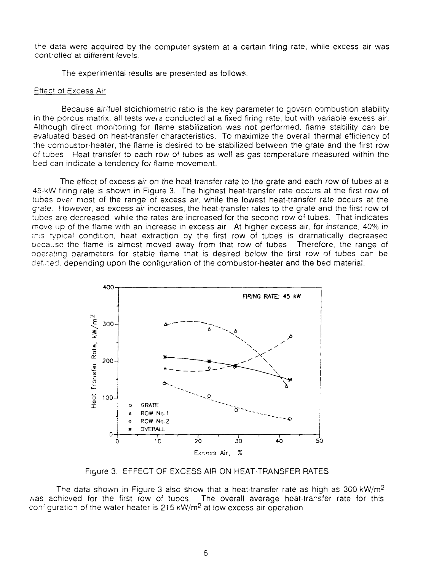the data were acquired by the computer system at a certain firing rate, while excess air was controlled at different levels.

The experimental results are presented as follows.

# Effect ot Excess Air

Because air/fuel stoichiometric ratio is the key parameter to govern combustion stability in the porous matrix, all tests weic conducted at a fixed firing rate, but with variable excess air. Although direct monitoring for flame stabilization was not performed, flame stability can be evaluated based on heat-transfer characteristics. To maximize the overall thermal efficiency of the combustor-heater, the flame is desired to be stabilized between the grate and the first row of tubes. Heat transfer to each row of tubes as well as gas temperature measured within the bed can indicate a tendency for flame movement.

The effect of excess air on the heat-transfer rate to the grate and each row of tubes at a 45-kW firing rate is shown in Figure 3. The highest heat-transfer rate occurs at the first row of tubes over most of the range of excess air, while the lowest heat-transfer rate occurs at the grate. However, as excess air increases, the heat-transfer rates to the grate and the first row of tubes are decreased, while the rates are increased for the second row of tubes. That indicates move up of the flame with an increase in excess air. At higher excess air. for instance. 40% in this typical condition, heat extraction by the first row of tubes is dramatically decreased oecajse the flame is almost moved away from that row of tubes. Therefore, the range of operating parameters for stable flame that is desired below the first row of tubes can be defined, depending upon the configuration of the combustor-heater and the bed material.



Figure 3. EFFECT OF EXCESS AIR ON HEAT-TRANSFER RATES

The data shown in Figure 3 also show that a heat-transfer rate as high as 300 kW/m<sup>2</sup> was achieved for the first row of tubes. The overall average heat-transfer rate for this configuration of the water heater is 215 kW/m<sup>2</sup> at low excess air operation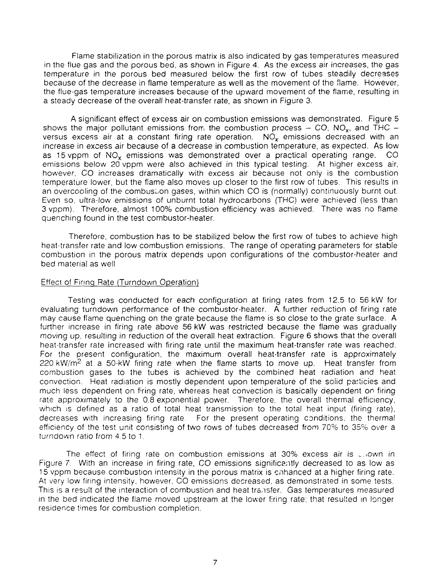Flame stabilization in the porous matrix is also indicated by gas temperatures measured in the flue gas and the porous bed, as shown in Figure 4. As the excess air increases, the gas temperature in the porous bed measured below the first row of tubes steadily decreases because of the decrease in flame temperature as well as the movement of the flame. However, the flue-gas temperature increases because of the upward movement of the flame, resulting in a steady decrease of the overall heat-transfer rate, as shown in Figure 3.

A significant effect of excess air on combustion emissions was demonstrated. Figure 5 shows the major pollutant emissions from the combustion process  $-$  CO, NO<sub>x</sub>, and THC  $$ versus excess air at a constant firing rate operation.  $NO<sub>x</sub>$  emissions decreased with an increase in excess air because of a decrease in combustion temperature, as expected. As low as 15 vppm of  $NO<sub>x</sub>$  emissions was demonstrated over a practical operating range.  $CO$ emissions below 20 vppm were also achieved in this typical testing. At higher excess air, however, CO increases dramatically with excess air because not only is the combustion temperature lower, but the fiame also moves up closer to the first row of tubes. This results in an overcooling of the combustion gases, within which CO is (normally) continuously burnt out. Even so, ultra-low emissions of unburnt total hydrocarbons (THC) were achieved (less than 3 vppm). Therefore, almost 100% combustion efficiency was achieved. There was no flame quenching found in the test combustor-heater.

Therefore, combustion has to be stabilized below the first row of tubes to achieve high heat-transfer rate and low combustion emissions. The range of operating parameters for stable combustion in the porous matrix depends upon configurations of the combustor-heater and bed material as well

# Effect of Firing Rate (Turndown Operation)

Testing was conducted for each configuration at firing rates from 12.5 to 56 kW for evaluating turndown performance of the combustor-heater. A further reduction of firing rate may cause flame quenching on the grate because the flame is so close to the grate surface. A further increase in firing rate above 56 kW was restricted because the flame was gradually moving up, resulting in reduction of the overall heat extraction. Figure 6 shows that the overall heat-transfer rate increased with firing rate until the maximum heat-transfer rate was reached. For the present configuration, the maximum overall heat-transfer rate is approximately 220 kW/m<sup>2</sup> at a 50-kW firing rate when the flame starts to move up. Heat transfer from combustion gases to the tubes is achieved by the combined heat radiation and heat convection. Heat radiation is mostly dependent upon temperature of the solid particies and much less dependent on f'ring rate, whereas heat convection is basically dependent on firing rate approximately to the 0.8 exponential power. Therefore, the overall thermal efficiency, which is defined as a ratio of total heat transmission to the total heat input (firing rate), decreases with increasing firing rate. For the present operating conditions, the thermal efficiency of the test unit consisting of two rows of tubes decreased from 70% to 35% over a turndown ratio from 4.5 to 1.

The effect of firing rate on combustion emissions at 30% excess air is \_,own in Figure 7. With an increase in firing rate, CO emissions significantly decreased to as low as 15 vppm because combustion intensity in the porous matrix is enhanced at a higher firing rate. At very low firing intensity, however, CO emissions decreased, as demonstrated in some tests. This is a result of the interaction of combustion and heat transfer. Gas temperatures measured in the bed indicated the flame moved upstream at the lower firing rate; that resulted in longer residence times for combustion completion.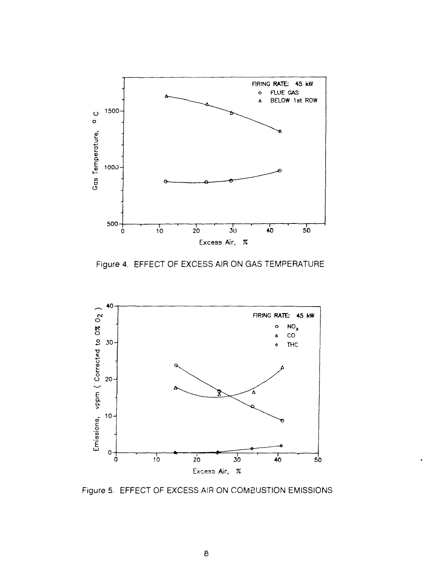

Figure 4. EFFECT OF EXCESS AIR ON GAS TEMPERATURE



Figure 5. EFFECT OF EXCESS AIR ON COMBUSTION EMISSIONS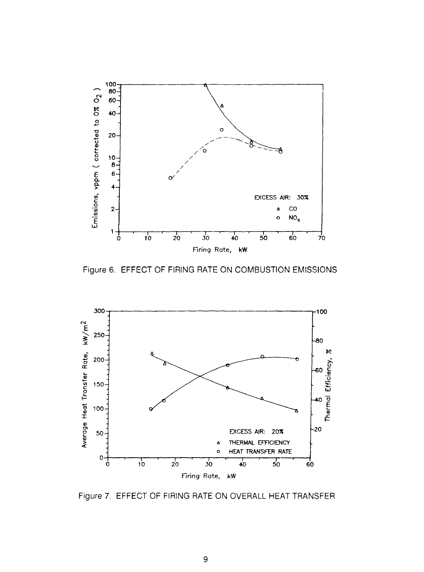

Figure 6. EFFECT OF FIRING RATE ON COMBUSTION EMISSIONS



Figure 7. EFFECT OF FIRING RATE ON OVERALL HEAT TRANSFER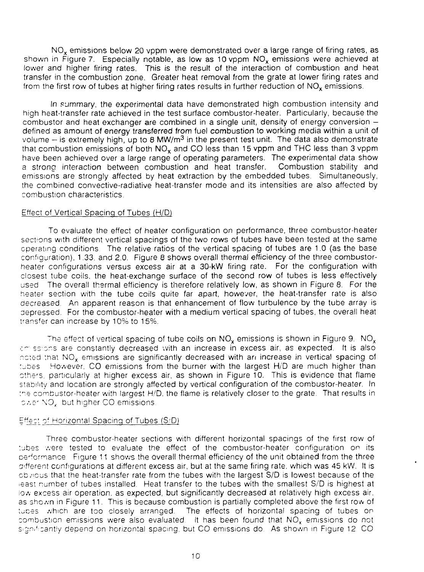NO<sub>x</sub> emissions below 20 vppm were demonstrated over a large range of firing rates, as shown in Figure 7. Especially notable, as low as 10 vppm  $NO_x$  emissions were achieved at lower and higher firing rates. This is the result of the interaction of combustion and heat transfer in the combustion zone. Greater heat removal from the grate at lower firing rates and from the first row of tubes at higher firing rates results in further reduction of  $NO<sub>x</sub>$  emissions.

In summary, the experimental data have demonstrated high combustion intensity and high heat-transfer rate achieved in the test surface combustor-heater. Particularly, because the combustor and heat exchanger are combined in a single unit, density of energy conversion defined as amount of energy transferred from fuel combustion to working media within a unit of volume  $-$  is extremely high, up to 8 MW/m<sup>3</sup> in the present test unit. The data also demonstrate that combustion emissions of both  $NO_x$  and  $CO$  less than 15 vppm and THC less than 3 vppm have been achieved over a large range of operating parameters. The experimental data show a strong interaction between combustion and heat transfer. Combustion stability and emissions are strongly affected by heat extraction by the embedded tubes. Simultaneously, the combined convective-radiative heat-transfer mode and its intensities are also affected by combustion characteristics.

# Effect of Vertical Spacing of Tubes (H/D)

To evaluate the effect of heater configuration on performance, three combustor-heater sections with different vertical spacings of the two rows of tubes have been tested at the same operating conditions The relative ratios of the vertical spacing of tubes are 1.0 (as the base configuration). 1.33. and 2.0. Figure 8 shows overall thermal efficiency of the three combustorheater configurations versus excess air at a 30-kW firing rate. For the configuration with closest tube coils, the heat-exchange surface of the second row of tubes is less effectively used The overall thermal efficiency is therefore relatively low, as shown in Figure 8. For the heater section with the tube coils quite far apart, however, the heat-transfer rate is also decreased. An apparent reason is that enhancement of flow turbulence by the tube array is depressed. For the combustor-heater with a medium vertical spacing of tubes, the overall heat transfer can increase by 10% to 15%.

The effect of vertical spacing of tube coils on  $NO_x$  emissions is shown in Figure 9.  $NO_x$ am ssions are constantly decreased with an increase in excess air, as expected. It is also noted that  $NO_x$  emissions are significantly decreased with an increase in vertical spacing of tubes However. CO emissions from the burner with the largest H/D are much higher than othe<sup>r</sup> s. particularly at higher excess air, as shown in Figure 10. This is evidence that flame stability and location are strongly affected by vertical configuration of the combustor-heater. In the combustor-heater with largest H/D, the flame is relatively closer to the grate. That results in ower NO, but higher CO emissions.

## Effect o' Horizontal Spacing of Tubes (S/D)

Three combustor-heater sections with different horizontal spacings of the first row of tubes were tested to evaluate the effect of the combustor-heater configuration on its performance Figure 11 shows the overall thermal efficiency of the unit obtained from the three different configurations at different excess air, but at the same firing rate, which was 45 kW. It is cb/icus that the heat-transfer rate from the tubes with the largest S/D is lowest because of the -east number of tubes installed. Heat transfer to the tubes with the smallest S/D is highest at iow excess air operation, as expected, but significantly decreased at relatively high excess air. as shown in Figure 11. This is because combustion is partially completed above the first row of tuces which are too closely arranged. The effects of horizontal spacing of tubes on combustion emissions were also evaluated. It has been found that  $NO<sub>x</sub>$  emissions do not significantly depend on horizontal spacing, but CO emissions do. As shown in Figure 12, CO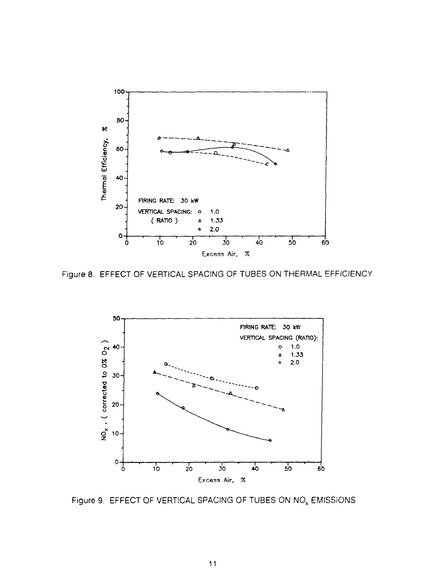

Figure 8. EFFECT OF VERTICAL SPACING OF TUBES ON THERMAL EFFICIENCY



Figure 9. EFFECT OF VERTICAL SPACING OF TUBES ON NO<sub>x</sub> EMISSIONS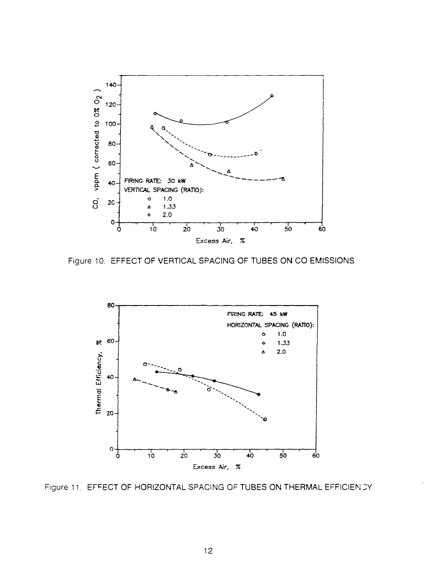

Figure 10. EFFECT OF VERTICAL SPACING OF TUBES ON CO EMISSIONS



Figure 11. EFFECT OF HORIZONTAL SPACING OF TUBES ON THERMAL EFFICIEN CY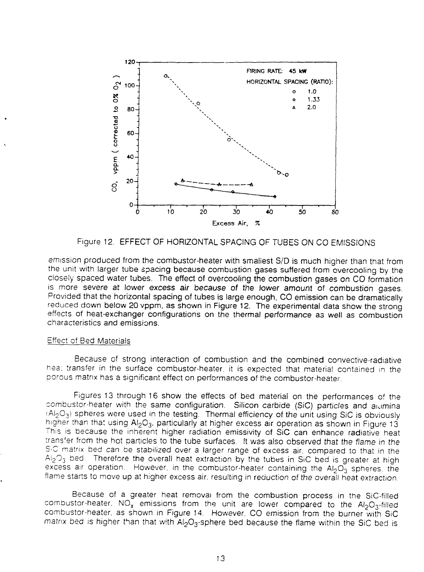

Figure 12. EFFECT OF HORIZONTAL SPACING OF TUBES ON CO EMISSIONS

emission produced from the combustor-heater with smallest S/D is much higher than that from the unit with larger tube spacing because combustion gases suffered from overcooling by the closely spaced water tubes. The effect of overcooling the combustion gases on CO formation is more severe at lower excess air because of the lower amount of combustion gases. Provided that the horizontal spacing of tubes is large enough, CO emission can be dramatically reduced down below 2Q vppm, as shown in Figure 12. The experimental data show the strong effects of heat-exchanger configurations on the thermal performance as well as combustion characteristics and emissions.

# Effect of Bed Materials

Because of strong interaction of combustion and the combined convective-radiative hea; transfer in the surface combustor-heater. it is expected that material contained in the porous matrix has a significant effect on performances of the combustor-heater.

Figures 13 through 16 show the effects of bed material on the performances of the combustor-heater with the same configuration. Silicon carbide (SiC) particles and aumina (Al<sub>2</sub>O<sub>3</sub>) spheres were used in the testing. Thermal efficiency of the unit using SiC is obviously higher than that using  $Al_2O_3$ , particularly at higher excess air operation as shown in Figure 13 This is because the inherent higher radiation emissivity of SiC can enhance radiative heat trans'er from the hot particles to the tube surfaces. It was also observed that the flame in the S'C matrix bed can be stabilized over a larger range of excess air. compared to that in the  $A_{12}O_3$  bed. Therefore the overall heat extraction by the tubes in SiC bed is greater at high excess air operation. However, in the combustor-heater containing the  $AI_2O_3$  spheres, the flame starts to move up at higher excess air, resulting in reduction of the overall heat extraction.

Because of a greater heat removal from the combustion process in the SiC-fi!ied combustor-heater,  $NO_x$  emissions from the unit are lower compared to the  $Al_2O_3$ -filled combustor-heater. as shown in Figure 14. However. CO emission from the burner with SiC matrix bed is higher than that with  $Al_2O_3$ -sphere bed because the flame within the SiC bed is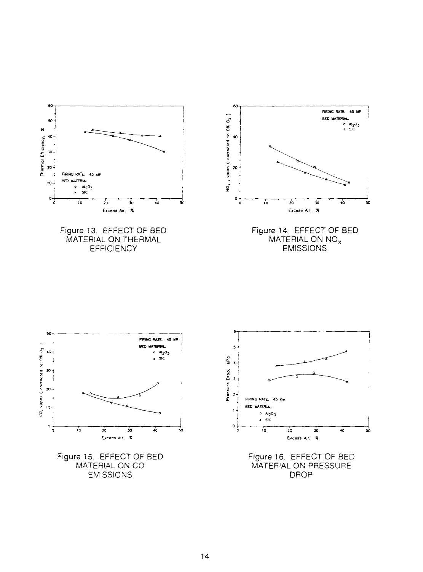

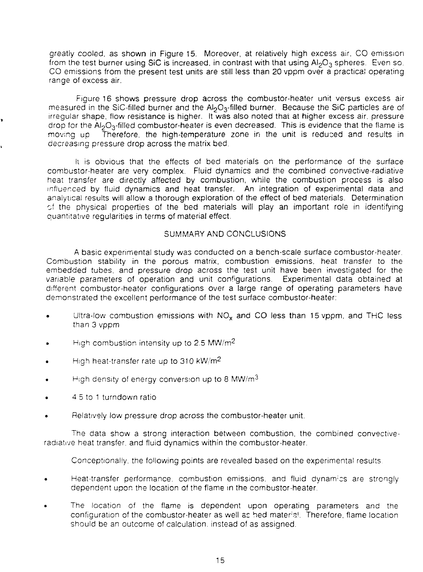greatly cooled, as shown in Figure 15. Moreover, at relatively high excess air, CO emission from the test burner using SiC is increased, in contrast with that using AI<sub>2</sub>O<sub>3</sub> spheres. Even so. CO emissions from the present test units are still less than 20 vppm over a practical operating range of excess air.

Figure 16 shows pressure drop across the combustor-heater unit versus excess air measured in the SiC-filled burner and the Al<sub>2</sub>O<sub>3</sub>-filled burner. Because the SiC particles are of irregular shape, flow resistance is higher. It was also noted that at higher excess air. pressure drop for the  $Al_2O_3$ -filled combustor-heater is even decreased. This is evidence that the flame is moving up and Therefore, the high-temperature zone in the unit is reduced and results in Therefore, the high-temperature zone in the unit is reduced and results in decreasing pressure drop across the matrix bed.

li is obvious that the effects of bed materials on the performance of the surface combustor-heater are very complex. Fluid dynamics and the combined convective-radiative heat transfer are directly affected by combustion, while the combustion process is also influenced by fluid dynamics and heat transfer. An integration of experimental data and analytical results will allow a thorough exploration of the effect of bed materials. Determination of the physical properties of the bed materials will play an important role in identifying quantitative regularities in terms of material effect.

# SUMMARY AND CONCLUSIONS

A basic experimental study was conducted on a bench-scale surface combustor-heater. Combustion stability in the porous matrix, combustion emissions, heat transfer to the embedded tubes, and pressure drop across the test unit have been investigated for the variable parameters of operation and unit configurations. Experimental data obtained at different combustor-heater configurations over a large range of operating parameters have demonstrated the excellent performance of the test surface combustor-heater:

- Ultra-low combustion emissions with  $NO<sub>x</sub>$  and CO less than 15 vppm, and THC less than 3 vppm
- High combustion intensity up to 2.5 MW/ $m^2$
- High heat-transfer rate up to 310 kW/m<sup>2</sup>
- High density of energy conversion up to 8 MW/m<sup>3</sup>
- 4 5 to 1 turndown ratio
- Relatively low pressure drop across the combustor-heater unit.

The data show a strong interaction between combustion, the combined convectiveradiative heat transfer, and fluid dynamics within the combustor-heater.

Conceptionally. the following points are revealed based on the experimental results

- Heat-transfer performance, combustion emissions, and fluid dynamics are strongly dependent upon the location of the flame in the combustor-heater.
- The location of the flame is dependent upon operating parameters and the configuration of the combustor-heater as well as hed material. Therefore, flame location should be an outcome of calculation, instead of as assigned.